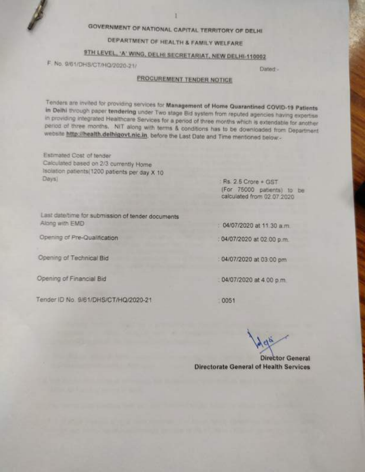# GOVERNMENT OF NATIONAL CAPITAL TERRITORY OF DELHI

# DEPARTMENT OF HEALTH & FAMILY WELFARE

# 9TH LEVEL, 'A' WING, DELHI SECRETARIAT, NEW DELHI-110002

F. No. 9/61/DHS/CT/HQ/2020-21/

Dated-

# PROCUREMENT TENDER NOTICE

Tenders are invited for providing services for Management of Home Quarantined COVID-19 Patients in Delhi through paper tendering under Two stage Bid system from reputed agencies having expertise. in providing integrated Healthcare Services for a period of three months which is extendable for another period of three months. NIT along with terms & conditions has to be downloaded from Department website http://health.delhigovt.nic.in. before the Last Date and Time mentioned below -

Estimated Cost of tender Calculated based on 2/3 currently Home Isolation patients(1200 patients per day X 10 Days)

Rs. 2.5 Crore + GST (For 75000 patients) to be calculated from 02.07.2020

Last date/time for submission of tender documents Along with EMD

Opening of Pre-Qualification

Opening of Technical Bid

Opening of Financial Bid

Tender ID No. 9/61/DHS/CT/HQ/2020-21

04/07/2020 at 11.30 a.m.

04/07/2020 at 02:00 p.m.

: 04/07/2020 at 03:00 pm

04/07/2020 at 4.00 p.m.

0051

**Director General Directorate General of Health Services**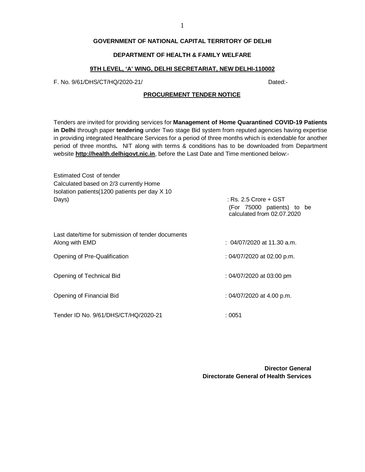#### 1

# **GOVERNMENT OF NATIONAL CAPITAL TERRITORY OF DELHI**

# **DEPARTMENT OF HEALTH & FAMILY WELFARE**

# **9TH LEVEL, 'A' WING, DELHI SECRETARIAT, NEW DELHI-110002**

F. No. 9/61/DHS/CT/HQ/2020-21/ Dated:-

#### **PROCUREMENT TENDER NOTICE**

Tenders are invited for providing services for **Management of Home Quarantined COVID-19 Patients in Delhi** through paper **tendering** under Two stage Bid system from reputed agencies having expertise in providing integrated Healthcare Services for a period of three months which is extendable for another period of three months**.** NIT along with terms & conditions has to be downloaded from Department website **<http://health.delhigovt.nic.in>**, before the Last Date and Time mentioned below:-

| Estimated Cost of tender<br>Calculated based on 2/3 currently Home  |                                                                                     |
|---------------------------------------------------------------------|-------------------------------------------------------------------------------------|
| Isolation patients (1200 patients per day X 10                      |                                                                                     |
| Days)                                                               | $:$ Rs. 2.5 Crore + GST<br>(For 75000 patients) to be<br>calculated from 02.07.2020 |
| Last date/time for submission of tender documents<br>Along with EMD | : 04/07/2020 at 11.30 a.m.                                                          |
| Opening of Pre-Qualification                                        | : 04/07/2020 at 02.00 p.m.                                                          |
| Opening of Technical Bid                                            | : 04/07/2020 at 03:00 pm                                                            |
| Opening of Financial Bid                                            | : 04/07/2020 at 4.00 p.m.                                                           |
| Tender ID No. 9/61/DHS/CT/HQ/2020-21                                | :0051                                                                               |

**Director General Directorate General of Health Services**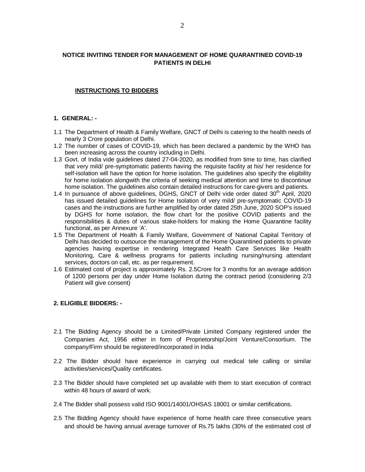# **NOTICE INVITING TENDER FOR MANAGEMENT OF HOME QUARANTINED COVID-19 PATIENTS IN DELHI**

# **INSTRUCTIONS TO BIDDERS**

# **1. GENERAL: -**

- 1.1 The Department of Health & Family Welfare, GNCT of Delhi is catering to the health needs of nearly 3 Crore population of Delhi.
- 1.2 The number of cases of COVID-19, which has been declared a pandemic by the WHO has been increasing across the country including in Delhi.
- 1.3 Govt. of India vide guidelines dated 27-04-2020, as modified from time to time, has clarified that very mild/ pre-symptomatic patients having the requisite facility at his/ her residence for self-isolation will have the option for home isolation. The guidelines also specify the eligibility for home isolation alongwith the criteria of seeking medical attention and time to discontinue home isolation. The guidelines also contain detailed instructions for care-givers and patients.
- 1.4 In pursuance of above guidelines, DGHS, GNCT of Delhi vide order dated 30<sup>th</sup> April, 2020 has issued detailed guidelines for Home Isolation of very mild/ pre-symptomatic COVID-19 cases and the instructions are further amplified by order dated 25th June, 2020 SOP's issued by DGHS for home isolation, the flow chart for the positive COVID patients and the responsibilities & duties of various stake-holders for making the Home Quarantine facility functional, as per Annexure 'A'.
- 1.5 The Department of Health & Family Welfare, Government of National Capital Territory of Delhi has decided to outsource the management of the Home Quarantined patients to private agencies having expertise in rendering Integrated Health Care Services like Health Monitoring, Care & wellness programs for patients including nursing/nursing attendant services, doctors on call, etc. as per requirement.
- 1.6 Estimated cost of project is approximately Rs. 2.5Crore for 3 months for an average addition of 1200 persons per day under Home Isolation during the contract period (considering 2/3 Patient will give consent)

# **2. ELIGIBLE BIDDERS: -**

- 2.1 The Bidding Agency should be a Limited/Private Limited Company registered under the Companies Act, 1956 either in form of Proprietorship/Joint Venture/Consortium. The company/Firm should be registered/incorporated in India
- 2.2 The Bidder should have experience in carrying out medical tele calling or similar activities/services/Quality certificates.
- 2.3 The Bidder should have completed set up available with them to start execution of contract within 48 hours of award of work.
- 2.4 The Bidder shall possess valid ISO 9001/14001/OHSAS 18001 or similar certifications.
- 2.5 The Bidding Agency should have experience of home health care three consecutive years and should be having annual average turnover of Rs.75 lakhs (30% of the estimated cost of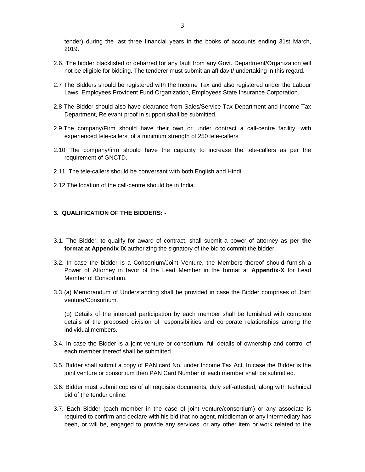tender) during the last three financial years in the books of accounts ending 31st March, 2019.

- 2.6. The bidder blacklisted or debarred for any fault from any Govt. Department/Organization will not be eligible for bidding. The tenderer must submit an affidavit/ undertaking in this regard.
- 2.7 The Bidders should be registered with the Income Tax and also registered under the Labour Laws, Employees Provident Fund Organization, Employees State Insurance Corporation.
- 2.8 The Bidder should also have clearance from Sales/Service Tax Department and Income Tax Department, Relevant proof in support shall be submitted.
- 2.9.The company/Firm should have their own or under contract a call-centre facility, with experienced tele-callers, of a minimum strength of 250 tele-callers.
- 2.10 The company/firm should have the capacity to increase the tele-callers as per the requirement of GNCTD.
- 2.11. The tele-callers should be conversant with both English and Hindi.
- 2.12 The location of the call-centre should be in India.

# **3. QUALIFICATION OF THE BIDDERS: -**

- 3.1. The Bidder, to qualify for award of contract, shall submit a power of attorney **as per the format at Appendix IX** authorizing the signatory of the bid to commit the bidder.
- 3.2. In case the bidder is a Consortium/Joint Venture, the Members thereof should furnish a Power of Attorney in favor of the Lead Member in the format at **Appendix-X** for Lead Member of Consortium.
- 3.3 (a) Memorandum of Understanding shall be provided in case the Bidder comprises of Joint venture/Consortium.

(b) Details of the intended participation by each member shall be furnished with complete details of the proposed division of responsibilities and corporate relationships among the individual members.

- 3.4. In case the Bidder is a joint venture or consortium, full details of ownership and control of each member thereof shall be submitted.
- 3.5. Bidder shall submit a copy of PAN card No. under Income Tax Act. In case the Bidder is the joint venture or consortium then PAN Card Number of each member shall be submitted.
- 3.6. Bidder must submit copies of all requisite documents, duly self-attested, along with technical bid of the tender online.
- 3.7. Each Bidder (each member in the case of joint venture/consortium) or any associate is required to confirm and declare with his bid that no agent, middleman or any intermediary has been, or will be, engaged to provide any services, or any other item or work related to the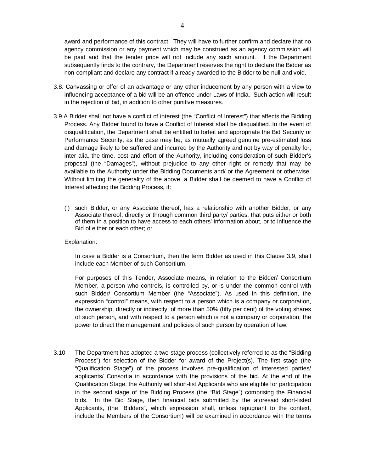award and performance of this contract. They will have to further confirm and declare that no agency commission or any payment which may be construed as an agency commission will be paid and that the tender price will not include any such amount. If the Department subsequently finds to the contrary, the Department reserves the right to declare the Bidder as non-compliant and declare any contract if already awarded to the Bidder to be null and void.

- 3.8. Canvassing or offer of an advantage or any other inducement by any person with a view to influencing acceptance of a bid will be an offence under Laws of India. Such action will result in the rejection of bid, in addition to other punitive measures.
- 3.9.A Bidder shall not have a conflict of interest (the "Conflict of Interest") that affects the Bidding Process. Any Bidder found to have a Conflict of Interest shall be disqualified. In the event of disqualification, the Department shall be entitled to forfeit and appropriate the Bid Security or Performance Security, as the case may be, as mutually agreed genuine pre-estimated loss and damage likely to be suffered and incurred by the Authority and not by way of penalty for, inter alia, the time, cost and effort of the Authority, including consideration of such Bidder's proposal (the "Damages"), without prejudice to any other right or remedy that may be available to the Authority under the Bidding Documents and/ or the Agreement or otherwise. Without limiting the generality of the above, a Bidder shall be deemed to have a Conflict of Interest affecting the Bidding Process, if:
	- (i) such Bidder, or any Associate thereof, has a relationship with another Bidder, or any Associate thereof, directly or through common third party/ parties, that puts either or both of them in a position to have access to each others' information about, or to influence the Bid of either or each other; or

# Explanation:

In case a Bidder is a Consortium, then the term Bidder as used in this Clause 3.9, shall include each Member of such Consortium.

For purposes of this Tender, Associate means, in relation to the Bidder/ Consortium Member, a person who controls, is controlled by, or is under the common control with such Bidder/ Consortium Member (the "Associate"). As used in this definition, the expression "control" means, with respect to a person which is a company or corporation, the ownership, directly or indirectly, of more than 50% (fifty per cent) of the voting shares of such person, and with respect to a person which is not a company or corporation, the power to direct the management and policies of such person by operation of law.

3.10 The Department has adopted a two-stage process (collectively referred to as the "Bidding Process") for selection of the Bidder for award of the Project(s). The first stage (the "Qualification Stage") of the process involves pre-qualification of interested parties/ applicants/ Consortia in accordance with the provisions of the bid. At the end of the Qualification Stage, the Authority will short-list Applicants who are eligible for participation in the second stage of the Bidding Process (the "Bid Stage") comprising the Financial bids. In the Bid Stage, then financial bids submitted by the aforesaid short-listed Applicants, (the "Bidders", which expression shall, unless repugnant to the context, include the Members of the Consortium) will be examined in accordance with the terms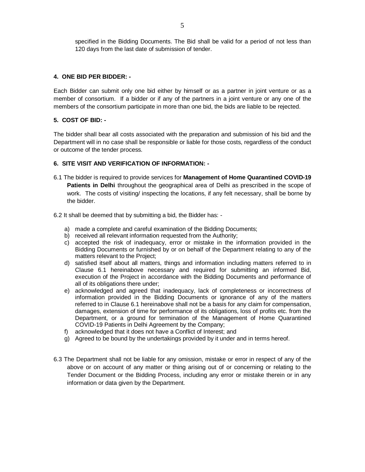specified in the Bidding Documents. The Bid shall be valid for a period of not less than 120 days from the last date of submission of tender.

# **4. ONE BID PER BIDDER: -**

Each Bidder can submit only one bid either by himself or as a partner in joint venture or as a member of consortium. If a bidder or if any of the partners in a joint venture or any one of the members of the consortium participate in more than one bid, the bids are liable to be rejected.

# **5. COST OF BID: -**

The bidder shall bear all costs associated with the preparation and submission of his bid and the Department will in no case shall be responsible or liable for those costs, regardless of the conduct or outcome of the tender process.

# **6. SITE VISIT AND VERIFICATION OF INFORMATION: -**

- 6.1 The bidder is required to provide services for **Management of Home Quarantined COVID-19 Patients in Delhi** throughout the geographical area of Delhi as prescribed in the scope of work. The costs of visiting/ inspecting the locations, if any felt necessary, shall be borne by the bidder.
- 6.2 It shall be deemed that by submitting a bid, the Bidder has:
	- a) made a complete and careful examination of the Bidding Documents;
	- b) received all relevant information requested from the Authority;
	- c) accepted the risk of inadequacy, error or mistake in the information provided in the Bidding Documents or furnished by or on behalf of the Department relating to any of the matters relevant to the Project;
	- d) satisfied itself about all matters, things and information including matters referred to in Clause 6.1 hereinabove necessary and required for submitting an informed Bid, execution of the Project in accordance with the Bidding Documents and performance of all of its obligations there under;
	- e) acknowledged and agreed that inadequacy, lack of completeness or incorrectness of information provided in the Bidding Documents or ignorance of any of the matters referred to in Clause 6.1 hereinabove shall not be a basis for any claim for compensation, damages, extension of time for performance of its obligations, loss of profits etc. from the Department, or a ground for termination of the Management of Home Quarantined COVID-19 Patients in Delhi Agreement by the Company;
	- f) acknowledged that it does not have a Conflict of Interest; and
	- g) Agreed to be bound by the undertakings provided by it under and in terms hereof.
- 6.3 The Department shall not be liable for any omission, mistake or error in respect of any of the above or on account of any matter or thing arising out of or concerning or relating to the Tender Document or the Bidding Process, including any error or mistake therein or in any information or data given by the Department.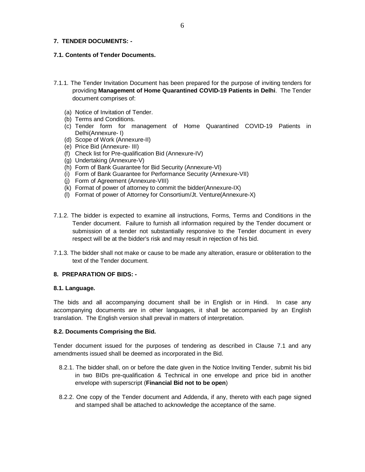# **7. TENDER DOCUMENTS: -**

# **7.1. Contents of Tender Documents.**

- 7.1.1. The Tender Invitation Document has been prepared for the purpose of inviting tenders for providing **Management of Home Quarantined COVID-19 Patients in Delhi**. The Tender document comprises of:
	- (a) Notice of Invitation of Tender.
	- (b) Terms and Conditions.
	- (c) Tender form for management of Home Quarantined COVID-19 Patients in Delhi(Annexure- I)
	- (d) Scope of Work (Annexure-II)
	- (e) Price Bid (Annexure- III)
	- (f) Check list for Pre-qualification Bid (Annexure-IV)
	- (g) Undertaking (Annexure-V)
	- (h) Form of Bank Guarantee for Bid Security (Annexure-VI)
	- (i) Form of Bank Guarantee for Performance Security (Annexure-VII)
	- (j) Form of Agreement (Annexure-VIII)
	- (k) Format of power of attorney to commit the bidder(Annexure-IX)
	- (l) Format of power of Attorney for Consortium/Jt. Venture(Annexure-X)
- 7.1.2. The bidder is expected to examine all instructions, Forms, Terms and Conditions in the Tender document. Failure to furnish all information required by the Tender document or submission of a tender not substantially responsive to the Tender document in every respect will be at the bidder's risk and may result in rejection of his bid.
- 7.1.3. The bidder shall not make or cause to be made any alteration, erasure or obliteration to the text of the Tender document.

# **8. PREPARATION OF BIDS: -**

# **8.1. Language.**

The bids and all accompanying document shall be in English or in Hindi. In case any accompanying documents are in other languages, it shall be accompanied by an English translation. The English version shall prevail in matters of interpretation.

# **8.2. Documents Comprising the Bid.**

Tender document issued for the purposes of tendering as described in Clause 7.1 and any amendments issued shall be deemed as incorporated in the Bid.

- 8.2.1. The bidder shall, on or before the date given in the Notice Inviting Tender, submit his bid in two BIDs pre-qualification & Technical in one envelope and price bid in another envelope with superscript (**Financial Bid not to be open**)
- 8.2.2. One copy of the Tender document and Addenda, if any, thereto with each page signed and stamped shall be attached to acknowledge the acceptance of the same.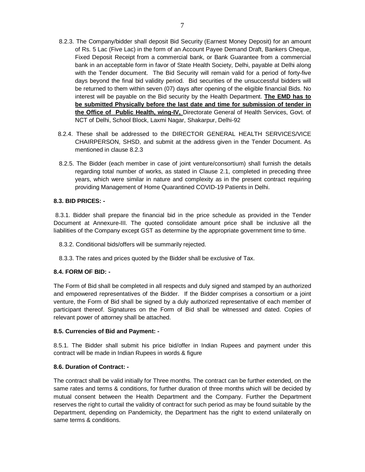- 8.2.3. The Company/bidder shall deposit Bid Security (Earnest Money Deposit) for an amount of Rs. 5 Lac (Five Lac) in the form of an Account Payee Demand Draft, Bankers Cheque, Fixed Deposit Receipt from a commercial bank, or Bank Guarantee from a commercial bank in an acceptable form in favor of State Health Society, Delhi, payable at Delhi along with the Tender document. The Bid Security will remain valid for a period of forty-five days beyond the final bid validity period. Bid securities of the unsuccessful bidders will be returned to them within seven (07) days after opening of the eligible financial Bids. No interest will be payable on the Bid security by the Health Department. **The EMD has to be submitted Physically before the last date and time for submission of tender in the Office of Public Health, wing-IV,** Directorate General of Health Services, Govt. of NCT of Delhi, School Block, Laxmi Nagar, Shakarpur, Delhi-92
- 8.2.4. These shall be addressed to the DIRECTOR GENERAL HEALTH SERVICES/VICE CHAIRPERSON, SHSD, and submit at the address given in the Tender Document. As mentioned in clause 8.2.3
- 8.2.5. The Bidder (each member in case of joint venture/consortium) shall furnish the details regarding total number of works, as stated in Clause 2.1, completed in preceding three years, which were similar in nature and complexity as in the present contract requiring providing Management of Home Quarantined COVID-19 Patients in Delhi.

# **8.3. BID PRICES: -**

8.3.1. Bidder shall prepare the financial bid in the price schedule as provided in the Tender Document at Annexure-III. The quoted consolidate amount price shall be inclusive all the liabilities of the Company except GST as determine by the appropriate government time to time.

- 8.3.2. Conditional bids/offers will be summarily rejected.
- 8.3.3. The rates and prices quoted by the Bidder shall be exclusive of Tax.

# **8.4. FORM OF BID: -**

The Form of Bid shall be completed in all respects and duly signed and stamped by an authorized and empowered representatives of the Bidder. If the Bidder comprises a consortium or a joint venture, the Form of Bid shall be signed by a duly authorized representative of each member of participant thereof. Signatures on the Form of Bid shall be witnessed and dated. Copies of relevant power of attorney shall be attached.

# **8.5. Currencies of Bid and Payment: -**

8.5.1. The Bidder shall submit his price bid/offer in Indian Rupees and payment under this contract will be made in Indian Rupees in words & figure

# **8.6. Duration of Contract: -**

The contract shall be valid initially for Three months. The contract can be further extended, on the same rates and terms & conditions, for further duration of three months which will be decided by mutual consent between the Health Department and the Company. Further the Department reserves the right to curtail the validity of contract for such period as may be found suitable by the Department, depending on Pandemicity, the Department has the right to extend unilaterally on same terms & conditions.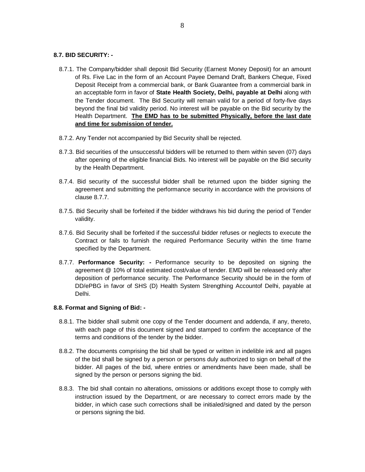# **8.7. BID SECURITY: -**

- 8.7.1. The Company/bidder shall deposit Bid Security (Earnest Money Deposit) for an amount of Rs. Five Lac in the form of an Account Payee Demand Draft, Bankers Cheque, Fixed Deposit Receipt from a commercial bank, or Bank Guarantee from a commercial bank in an acceptable form in favor of **State Health Society, Delhi, payable at Delhi** along with the Tender document. The Bid Security will remain valid for a period of forty-five days beyond the final bid validity period. No interest will be payable on the Bid security by the Health Department. **The EMD has to be submitted Physically, before the last date and time for submission of tender.**
- 8.7.2. Any Tender not accompanied by Bid Security shall be rejected.
- 8.7.3. Bid securities of the unsuccessful bidders will be returned to them within seven (07) days after opening of the eligible financial Bids. No interest will be payable on the Bid security by the Health Department.
- 8.7.4. Bid security of the successful bidder shall be returned upon the bidder signing the agreement and submitting the performance security in accordance with the provisions of clause 8.7.7.
- 8.7.5. Bid Security shall be forfeited if the bidder withdraws his bid during the period of Tender validity.
- 8.7.6. Bid Security shall be forfeited if the successful bidder refuses or neglects to execute the Contract or fails to furnish the required Performance Security within the time frame specified by the Department.
- 8.7.7. **Performance Security: -** Performance security to be deposited on signing the agreement @ 10% of total estimated cost/value of tender. EMD will be released only after deposition of performance security. The Performance Security should be in the form of DD/ePBG in favor of SHS (D) Health System Strengthing Accountof Delhi, payable at Delhi.

# **8.8. Format and Signing of Bid: -**

- 8.8.1. The bidder shall submit one copy of the Tender document and addenda, if any, thereto, with each page of this document signed and stamped to confirm the acceptance of the terms and conditions of the tender by the bidder.
- 8.8.2. The documents comprising the bid shall be typed or written in indelible ink and all pages of the bid shall be signed by a person or persons duly authorized to sign on behalf of the bidder. All pages of the bid, where entries or amendments have been made, shall be signed by the person or persons signing the bid.
- 8.8.3. The bid shall contain no alterations, omissions or additions except those to comply with instruction issued by the Department, or are necessary to correct errors made by the bidder, in which case such corrections shall be initialed/signed and dated by the person or persons signing the bid.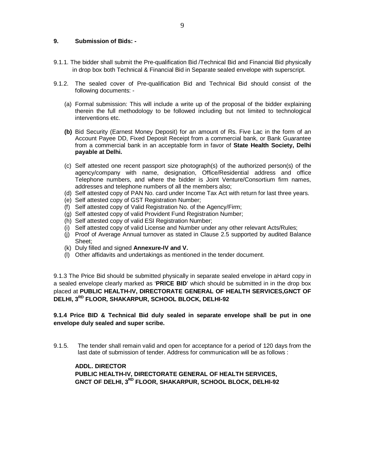# **9. Submission of Bids: -**

- 9.1.1. The bidder shall submit the Pre-qualification Bid /Technical Bid and Financial Bid physically in drop box both Technical & Financial Bid in Separate sealed envelope with superscript.
- 9.1.2. The sealed cover of Pre-qualification Bid and Technical Bid should consist of the following documents: -
	- (a) Formal submission: This will include a write up of the proposal of the bidder explaining therein the full methodology to be followed including but not limited to technological interventions etc.
	- **(b)** Bid Security (Earnest Money Deposit) for an amount of Rs. Five Lac in the form of an Account Payee DD, Fixed Deposit Receipt from a commercial bank, or Bank Guarantee from a commercial bank in an acceptable form in favor of **State Health Society, Delhi payable at Delhi.**
	- (c) Self attested one recent passport size photograph(s) of the authorized person(s) of the agency/company with name, designation, Office/Residential address and office Telephone numbers, and where the bidder is Joint Venture/Consortium firm names, addresses and telephone numbers of all the members also;
	- (d) Self attested copy of PAN No. card under Income Tax Act with return for last three years.
	- (e) Self attested copy of GST Registration Number;
	- (f) Self attested copy of Valid Registration No. of the Agency/Firm;
	- (g) Self attested copy of valid Provident Fund Registration Number;
	- (h) Self attested copy of valid ESI Registration Number;
	- (i) Self attested copy of valid License and Number under any other relevant Acts/Rules;
	- (j) Proof of Average Annual turnover as stated in Clause 2.5 supported by audited Balance Sheet;
	- (k) Duly filled and signed **Annexure-IV and V.**
	- (l) Other affidavits and undertakings as mentioned in the tender document.

9.1.3 The Price Bid should be submitted physically in separate sealed envelope in aHard copy in a sealed envelope clearly marked as '**PRICE BID**' which should be submitted in in the drop box placed at **PUBLIC HEALTH-IV, DIRECTORATE GENERAL OF HEALTH SERVICES,GNCT OF DELHI, 3RD FLOOR, SHAKARPUR, SCHOOL BLOCK, DELHI-92**

**9.1.4 Price BID & Technical Bid duly sealed in separate envelope shall be put in one envelope duly sealed and super scribe.** 

9.1.5. The tender shall remain valid and open for acceptance for a period of 120 days from the last date of submission of tender. Address for communication will be as follows :

# **ADDL. DIRECTOR**

**PUBLIC HEALTH-IV, DIRECTORATE GENERAL OF HEALTH SERVICES, GNCT OF DELHI, 3 RD FLOOR, SHAKARPUR, SCHOOL BLOCK, DELHI-92**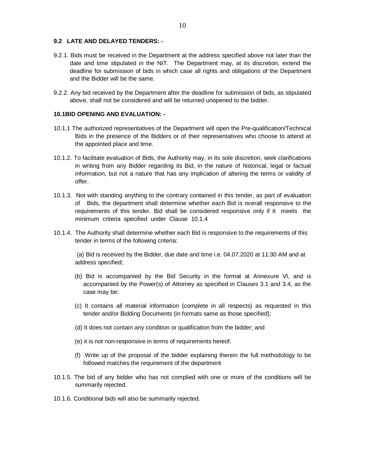# **9.2 LATE AND DELAYED TENDERS: -**

- 9.2.1. Bids must be received in the Department at the address specified above not later than the date and time stipulated in the NIT. The Department may, at its discretion, extend the deadline for submission of bids in which case all rights and obligations of the Department and the Bidder will be the same.
- 9.2.2. Any bid received by the Department after the deadline for submission of bids, as stipulated above, shall not be considered and will be returned unopened to the bidder.

# **10.1BID OPENING AND EVALUATION: -**

- 10.1.1 The authorized representatives of the Department will open the Pre-qualification/Technical Bids in the presence of the Bidders or of their representatives who choose to attend at the appointed place and time.
- 10.1.2. To facilitate evaluation of Bids, the Authority may, in its sole discretion, seek clarifications in writing from any Bidder regarding its Bid, in the nature of historical, legal or factual information, but not a nature that has any implication of altering the terms or validity of offer.
- 10.1.3. Not with standing anything to the contrary contained in this tender, as part of evaluation of Bids, the department shall determine whether each Bid is overall responsive to the requirements of this tender. Bid shall be considered responsive only if it meets the minimum criteria specified under Clause 10.1.4
- 10.1.4. The Authority shall determine whether each Bid is responsive to the requirements of this tender in terms of the following criteria:

(a) Bid is received by the Bidder, due date and time i.e. 04.07.2020 at 11:30 AM and at address specified;

- (b) Bid is accompanied by the Bid Security in the format at Annexure VI, and is accompanied by the Power(s) of Attorney as specified in Clauses 3.1 and 3.4, as the case may be;
- (c) It contains all material information (complete in all respects) as requested in this tender and/or Bidding Documents (in formats same as those specified);
- (d) It does not contain any condition or qualification from the bidder; and
- (e) it is not non-responsive in terms of requirements hereof.
- (f) Write up of the proposal of the bidder explaining therein the full methodology to be followed matches the requirement of the department
- 10.1.5. The bid of any bidder who has not complied with one or more of the conditions will be summarily rejected.
- 10.1.6. Conditional bids will also be summarily rejected.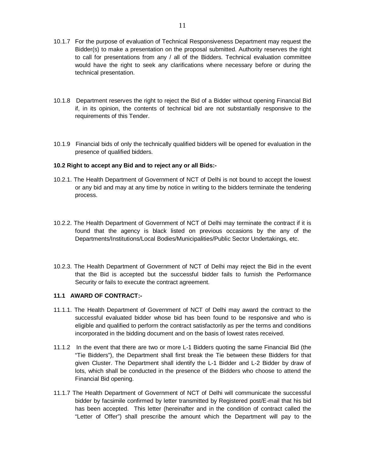- 10.1.7 For the purpose of evaluation of Technical Responsiveness Department may request the Bidder(s) to make a presentation on the proposal submitted. Authority reserves the right to call for presentations from any / all of the Bidders. Technical evaluation committee would have the right to seek any clarifications where necessary before or during the technical presentation.
- 10.1.8 Department reserves the right to reject the Bid of a Bidder without opening Financial Bid if, in its opinion, the contents of technical bid are not substantially responsive to the requirements of this Tender.
- 10.1.9 Financial bids of only the technically qualified bidders will be opened for evaluation in the presence of qualified bidders.

# **10.2 Right to accept any Bid and to reject any or all Bids:-**

- 10.2.1. The Health Department of Government of NCT of Delhi is not bound to accept the lowest or any bid and may at any time by notice in writing to the bidders terminate the tendering process.
- 10.2.2. The Health Department of Government of NCT of Delhi may terminate the contract if it is found that the agency is black listed on previous occasions by the any of the Departments/Institutions/Local Bodies/Municipalities/Public Sector Undertakings, etc.
- 10.2.3. The Health Department of Government of NCT of Delhi may reject the Bid in the event that the Bid is accepted but the successful bidder fails to furnish the Performance Security or fails to execute the contract agreement.

# **11.1 AWARD OF CONTRACT:-**

- 11.1.1. The Health Department of Government of NCT of Delhi may award the contract to the successful evaluated bidder whose bid has been found to be responsive and who is eligible and qualified to perform the contract satisfactorily as per the terms and conditions incorporated in the bidding document and on the basis of lowest rates received.
- 11.1.2 In the event that there are two or more L-1 Bidders quoting the same Financial Bid (the "Tie Bidders"), the Department shall first break the Tie between these Bidders for that given Cluster. The Department shall identify the L-1 Bidder and L-2 Bidder by draw of lots, which shall be conducted in the presence of the Bidders who choose to attend the Financial Bid opening.
- 11.1.7 The Health Department of Government of NCT of Delhi will communicate the successful bidder by facsimile confirmed by letter transmitted by Registered post/E-mail that his bid has been accepted. This letter (hereinafter and in the condition of contract called the "Letter of Offer") shall prescribe the amount which the Department will pay to the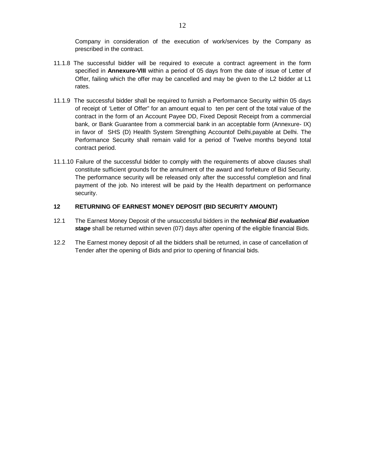Company in consideration of the execution of work/services by the Company as prescribed in the contract.

- 11.1.8 The successful bidder will be required to execute a contract agreement in the form specified in **Annexure-VIII** within a period of 05 days from the date of issue of Letter of Offer, failing which the offer may be cancelled and may be given to the L2 bidder at L1 rates.
- 11.1.9 The successful bidder shall be required to furnish a Performance Security within 05 days of receipt of 'Letter of Offer" for an amount equal to ten per cent of the total value of the contract in the form of an Account Payee DD, Fixed Deposit Receipt from a commercial bank, or Bank Guarantee from a commercial bank in an acceptable form (Annexure- IX) in favor of SHS (D) Health System Strengthing Accountof Delhi,payable at Delhi. The Performance Security shall remain valid for a period of Twelve months beyond total contract period.
- 11.1.10 Failure of the successful bidder to comply with the requirements of above clauses shall constitute sufficient grounds for the annulment of the award and forfeiture of Bid Security. The performance security will be released only after the successful completion and final payment of the job. No interest will be paid by the Health department on performance security.

# **12 RETURNING OF EARNEST MONEY DEPOSIT (BID SECURITY AMOUNT)**

- 12.1 The Earnest Money Deposit of the unsuccessful bidders in the **technical Bid evaluation stage** shall be returned within seven (07) days after opening of the eligible financial Bids.
- 12.2 The Earnest money deposit of all the bidders shall be returned, in case of cancellation of Tender after the opening of Bids and prior to opening of financial bids.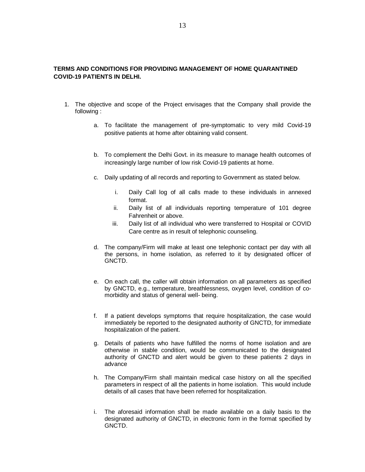# **TERMS AND CONDITIONS FOR PROVIDING MANAGEMENT OF HOME QUARANTINED COVID-19 PATIENTS IN DELHI.**

- 1. The objective and scope of the Project envisages that the Company shall provide the following :
	- a. To facilitate the management of pre-symptomatic to very mild Covid-19 positive patients at home after obtaining valid consent.
	- b. To complement the Delhi Govt. in its measure to manage health outcomes of increasingly large number of low risk Covid-19 patients at home.
	- c. Daily updating of all records and reporting to Government as stated below.
		- i. Daily Call log of all calls made to these individuals in annexed format.
		- ii. Daily list of all individuals reporting temperature of 101 degree Fahrenheit or above.
		- iii. Daily list of all individual who were transferred to Hospital or COVID Care centre as in result of telephonic counseling.
	- d. The company/Firm will make at least one telephonic contact per day with all the persons, in home isolation, as referred to it by designated officer of GNCTD.
	- e. On each call, the caller will obtain information on all parameters as specified by GNCTD, e.g., temperature, breathlessness, oxygen level, condition of comorbidity and status of general well- being.
	- f. If a patient develops symptoms that require hospitalization, the case would immediately be reported to the designated authority of GNCTD, for immediate hospitalization of the patient.
	- g. Details of patients who have fulfilled the norms of home isolation and are otherwise in stable condition, would be communicated to the designated authority of GNCTD and alert would be given to these patients 2 days in advance
	- h. The Company/Firm shall maintain medical case history on all the specified parameters in respect of all the patients in home isolation. This would include details of all cases that have been referred for hospitalization.
	- i. The aforesaid information shall be made available on a daily basis to the designated authority of GNCTD, in electronic form in the format specified by GNCTD.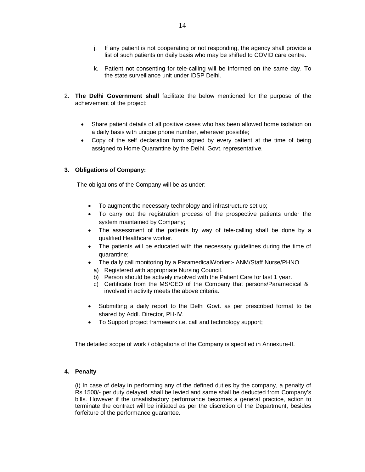- j. If any patient is not cooperating or not responding, the agency shall provide a list of such patients on daily basis who may be shifted to COVID care centre.
- k. Patient not consenting for tele-calling will be informed on the same day. To the state surveillance unit under IDSP Delhi.
- 2. **The Delhi Government shall** facilitate the below mentioned for the purpose of the achievement of the project:
	- Share patient details of all positive cases who has been allowed home isolation on a daily basis with unique phone number, wherever possible;
	- Copy of the self declaration form signed by every patient at the time of being assigned to Home Quarantine by the Delhi. Govt. representative.

# **3. Obligations of Company:**

The obligations of the Company will be as under:

- To augment the necessary technology and infrastructure set up;
- To carry out the registration process of the prospective patients under the system maintained by Company;
- The assessment of the patients by way of tele-calling shall be done by a qualified Healthcare worker.
- The patients will be educated with the necessary guidelines during the time of quarantine;
- The daily call monitoring by a ParamedicalWorker**:-** ANM/Staff Nurse/PHNO
	- a) Registered with appropriate Nursing Council.
	- b) Person should be actively involved with the Patient Care for last 1 year.
	- c) Certificate from the MS/CEO of the Company that persons/Paramedical & involved in activity meets the above criteria.
- Submitting a daily report to the Delhi Govt. as per prescribed format to be shared by Addl. Director, PH-IV.
- To Support project framework i.e. call and technology support;

The detailed scope of work / obligations of the Company is specified in Annexure-II.

# **4. Penalty**

(i) In case of delay in performing any of the defined duties by the company, a penalty of Rs.1500/- per duty delayed, shall be levied and same shall be deducted from Company's bills. However if the unsatisfactory performance becomes a general practice, action to terminate the contract will be initiated as per the discretion of the Department, besides forfeiture of the performance guarantee.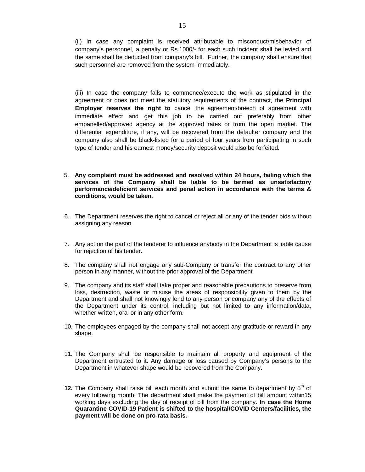(ii) In case any complaint is received attributable to misconduct/misbehavior of company's personnel, a penalty or Rs.1000/- for each such incident shall be levied and the same shall be deducted from company's bill. Further, the company shall ensure that such personnel are removed from the system immediately.

(iii) In case the company fails to commence/execute the work as stipulated in the agreement or does not meet the statutory requirements of the contract, the **Principal Employer reserves the right to** cancel the agreement/breech of agreement with immediate effect and get this job to be carried out preferably from other empanelled/approved agency at the approved rates or from the open market. The differential expenditure, if any, will be recovered from the defaulter company and the company also shall be black-listed for a period of four years from participating in such type of tender and his earnest money/security deposit would also be forfeited.

- 5. **Any complaint must be addressed and resolved within 24 hours, failing which the services of the Company shall be liable to be termed as unsatisfactory performance/deficient services and penal action in accordance with the terms & conditions, would be taken.**
- 6. The Department reserves the right to cancel or reject all or any of the tender bids without assigning any reason.
- 7. Any act on the part of the tenderer to influence anybody in the Department is liable cause for rejection of his tender.
- 8. The company shall not engage any sub-Company or transfer the contract to any other person in any manner, without the prior approval of the Department.
- 9. The company and its staff shall take proper and reasonable precautions to preserve from loss, destruction, waste or misuse the areas of responsibility given to them by the Department and shall not knowingly lend to any person or company any of the effects of the Department under its control, including but not limited to any information/data, whether written, oral or in any other form.
- 10. The employees engaged by the company shall not accept any gratitude or reward in any shape.
- 11. The Company shall be responsible to maintain all property and equipment of the Department entrusted to it. Any damage or loss caused by Company's persons to the Department in whatever shape would be recovered from the Company.
- **12.** The Company shall raise bill each month and submit the same to department by 5<sup>th</sup> of every following month. The department shall make the payment of bill amount within15 working days excluding the day of receipt of bill from the company. **In case the Home Quarantine COVID-19 Patient is shifted to the hospital/COVID Centers/facilities, the payment will be done on pro-rata basis.**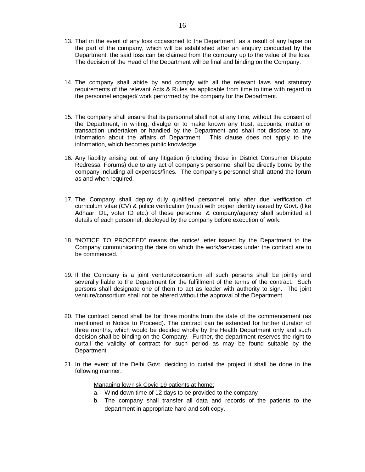- 13. That in the event of any loss occasioned to the Department, as a result of any lapse on the part of the company, which will be established after an enquiry conducted by the Department, the said loss can be claimed from the company up to the value of the loss. The decision of the Head of the Department will be final and binding on the Company.
- 14. The company shall abide by and comply with all the relevant laws and statutory requirements of the relevant Acts & Rules as applicable from time to time with regard to the personnel engaged/ work performed by the company for the Department.
- 15. The company shall ensure that its personnel shall not at any time, without the consent of the Department, in writing, divulge or to make known any trust, accounts, matter or transaction undertaken or handled by the Department and shall not disclose to any information about the affairs of Department. This clause does not apply to the information, which becomes public knowledge.
- 16. Any liability arising out of any litigation (including those in District Consumer Dispute Redressal Forums) due to any act of company's personnel shall be directly borne by the company including all expenses/fines. The company's personnel shall attend the forum as and when required.
- 17. The Company shall deploy duly qualified personnel only after due verification of curriculum vitae (CV) & police verification (must) with proper identity issued by Govt. (like Adhaar, DL, voter ID etc.) of these personnel & company/agency shall submitted all details of each personnel, deployed by the company before execution of work.
- 18. "NOTICE TO PROCEED" means the notice/ letter issued by the Department to the Company communicating the date on which the work/services under the contract are to be commenced.
- 19. If the Company is a joint venture/consortium all such persons shall be jointly and severally liable to the Department for the fulfillment of the terms of the contract. Such persons shall designate one of them to act as leader with authority to sign. The joint venture/consortium shall not be altered without the approval of the Department.
- 20. The contract period shall be for three months from the date of the commencement (as mentioned in Notice to Proceed). The contract can be extended for further duration of three months, which would be decided wholly by the Health Department only and such decision shall be binding on the Company. Further, the department reserves the right to curtail the validity of contract for such period as may be found suitable by the Department.
- 21. In the event of the Delhi Govt. deciding to curtail the project it shall be done in the following manner:

Managing low risk Covid 19 patients at home:

- a. Wind down time of 12 days to be provided to the company
- b. The company shall transfer all data and records of the patients to the department in appropriate hard and soft copy.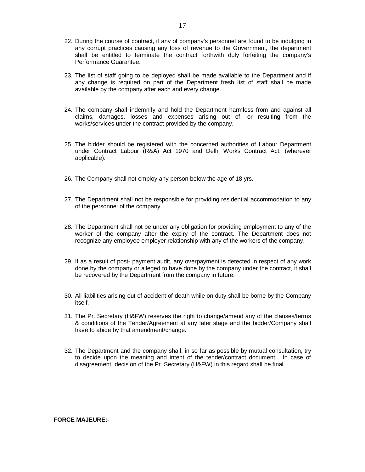22. During the course of contract, if any of company's personnel are found to be indulging in any corrupt practices causing any loss of revenue to the Government, the department shall be entitled to terminate the contract forthwith duly forfeiting the company's Performance Guarantee.

17

- 23. The list of staff going to be deployed shall be made available to the Department and if any change is required on part of the Department fresh list of staff shall be made available by the company after each and every change.
- 24. The company shall indemnify and hold the Department harmless from and against all claims, damages, losses and expenses arising out of, or resulting from the works/services under the contract provided by the company.
- 25. The bidder should be registered with the concerned authorities of Labour Department under Contract Labour (R&A) Act 1970 and Delhi Works Contract Act. (wherever applicable).
- 26. The Company shall not employ any person below the age of 18 yrs.
- 27. The Department shall not be responsible for providing residential accommodation to any of the personnel of the company.
- 28. The Department shall not be under any obligation for providing employment to any of the worker of the company after the expiry of the contract. The Department does not recognize any employee employer relationship with any of the workers of the company.
- 29. If as a result of post- payment audit, any overpayment is detected in respect of any work done by the company or alleged to have done by the company under the contract, it shall be recovered by the Department from the company in future.
- 30. All liabilities arising out of accident of death while on duty shall be borne by the Company itself.
- 31. The Pr. Secretary (H&FW) reserves the right to change/amend any of the clauses/terms & conditions of the Tender/Agreement at any later stage and the bidder/Company shall have to abide by that amendment/change.
- 32. The Department and the company shall, in so far as possible by mutual consultation, try to decide upon the meaning and intent of the tender/contract document. In case of disagreement, decision of the Pr. Secretary (H&FW) in this regard shall be final.

**FORCE MAJEURE:-**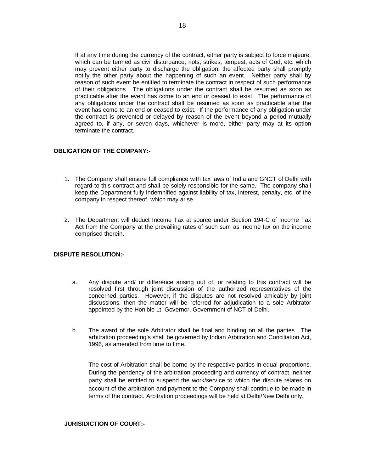If at any time during the currency of the contract, either party is subject to force majeure, which can be termed as civil disturbance, riots, strikes, tempest, acts of God, etc. which may prevent either party to discharge the obligation, the affected party shall promptly notify the other party about the happening of such an event. Neither party shall by reason of such event be entitled to terminate the contract in respect of such performance of their obligations. The obligations under the contract shall be resumed as soon as practicable after the event has come to an end or ceased to exist. The performance of any obligations under the contract shall be resumed as soon as practicable after the event has come to an end or ceased to exist. If the performance of any obligation under the contract is prevented or delayed by reason of the event beyond a period mutually agreed to, if any, or seven days, whichever is more, either party may at its option terminate the contract.

# **OBLIGATION OF THE COMPANY:-**

- 1. The Company shall ensure full compliance with tax laws of India and GNCT of Delhi with regard to this contract and shall be solely responsible for the same. The company shall keep the Department fully indemnified against liability of tax, interest, penalty, etc. of the company in respect thereof, which may arise.
- 2. The Department will deduct Income Tax at source under Section 194-C of Income Tax Act from the Company at the prevailing rates of such sum as income tax on the income comprised therein.

# **DISPUTE RESOLUTION:-**

- a. Any dispute and/ or difference arising out of, or relating to this contract will be resolved first through joint discussion of the authorized representatives of the concerned parties. However, if the disputes are not resolved amicably by joint discussions, then the matter will be referred for adjudication to a sole Arbitrator appointed by the Hon'ble Lt. Governor, Government of NCT of Delhi.
- b. The award of the sole Arbitrator shall be final and binding on all the parties. The arbitration proceeding's shall be governed by Indian Arbitration and Conciliation Act, 1996, as amended from time to time.

The cost of Arbitration shall be borne by the respective parties in equal proportions. During the pendency of the arbitration proceeding and currency of contract, neither party shall be entitled to suspend the work/service to which the dispute relates on account of the arbitration and payment to the Company shall continue to be made in terms of the contract. Arbitration proceedings will be held at Delhi/New Delhi only.

# **JURISIDICTION OF COURT:-**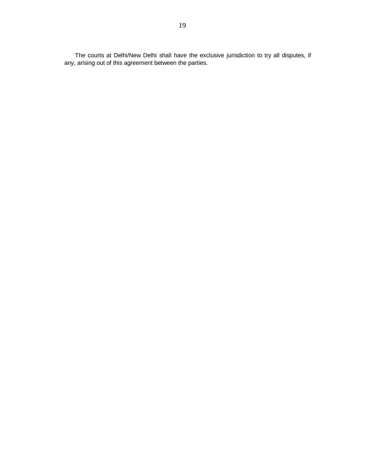The courts at Delhi/New Delhi shall have the exclusive jurisdiction to try all disputes, if any, arising out of this agreement between the parties.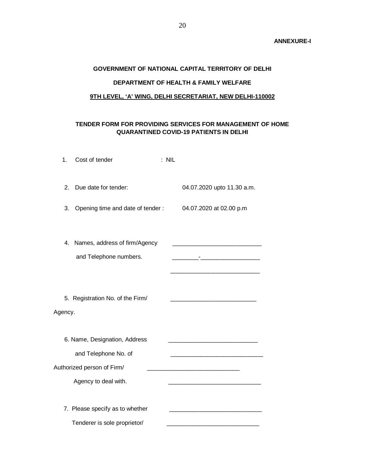# **ANNEXURE-I**

# **GOVERNMENT OF NATIONAL CAPITAL TERRITORY OF DELHI DEPARTMENT OF HEALTH & FAMILY WELFARE**

# **9TH LEVEL, 'A' WING, DELHI SECRETARIAT, NEW DELHI-110002**

# **TENDER FORM FOR PROVIDING SERVICES FOR MANAGEMENT OF HOME QUARANTINED COVID-19 PATIENTS IN DELHI**

| 1.      | Cost of tender                                                             | : NIL |                                                                       |
|---------|----------------------------------------------------------------------------|-------|-----------------------------------------------------------------------|
| 2.      | Due date for tender:                                                       |       | 04.07.2020 upto 11.30 a.m.                                            |
| 3.      | Opening time and date of tender:                                           |       | 04.07.2020 at 02.00 p.m                                               |
| 4.      | Names, address of firm/Agency<br>and Telephone numbers.                    |       |                                                                       |
| Agency. | 5. Registration No. of the Firm/                                           |       | <u> 1980 - Johann Barn, mars an t-Amerikaansk ferske omtalister (</u> |
|         | 6. Name, Designation, Address                                              |       |                                                                       |
|         | and Telephone No. of<br>Authorized person of Firm/<br>Agency to deal with. |       |                                                                       |
|         | 7. Please specify as to whether<br>Tenderer is sole proprietor/            |       |                                                                       |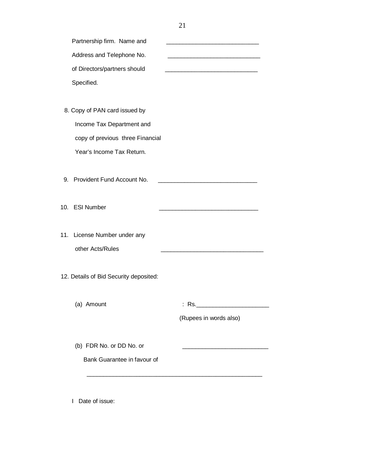| Partnership firm. Name and             |                                                                  |
|----------------------------------------|------------------------------------------------------------------|
| Address and Telephone No.              |                                                                  |
| of Directors/partners should           |                                                                  |
| Specified.                             |                                                                  |
|                                        |                                                                  |
| 8. Copy of PAN card issued by          |                                                                  |
| Income Tax Department and              |                                                                  |
| copy of previous three Financial       |                                                                  |
| Year's Income Tax Return.              |                                                                  |
|                                        |                                                                  |
| 9. Provident Fund Account No.          | <u> 1980 - Jan James James Barnett, fransk politik (d. 1980)</u> |
|                                        |                                                                  |
| 10. ESI Number                         | <u> 1980 - Johann John Stone, mars eta biztanleria (</u>         |
|                                        |                                                                  |
| 11. License Number under any           |                                                                  |
| other Acts/Rules                       |                                                                  |
|                                        |                                                                  |
| 12. Details of Bid Security deposited: |                                                                  |
|                                        |                                                                  |
| (a) Amount                             |                                                                  |
|                                        | (Rupees in words also)                                           |
|                                        |                                                                  |
| (b) FDR No. or DD No. or               |                                                                  |
| Bank Guarantee in favour of            |                                                                  |
|                                        |                                                                  |

I Date of issue: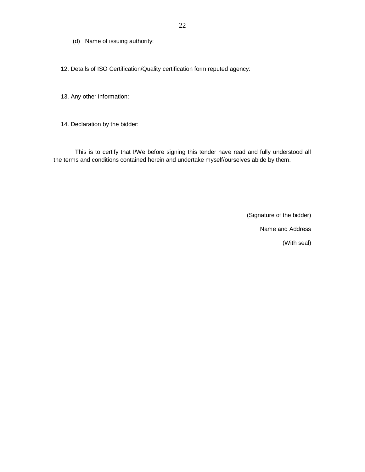(d) Name of issuing authority:

12. Details of ISO Certification/Quality certification form reputed agency:

13. Any other information:

14. Declaration by the bidder:

This is to certify that I/We before signing this tender have read and fully understood all the terms and conditions contained herein and undertake myself/ourselves abide by them.

(Signature of the bidder)

Name and Address

(With seal)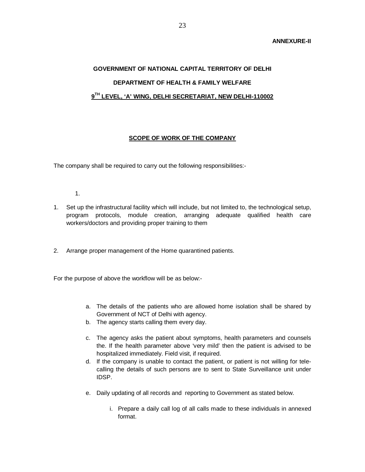# **GOVERNMENT OF NATIONAL CAPITAL TERRITORY OF DELHI DEPARTMENT OF HEALTH & FAMILY WELFARE 9 TH LEVEL, 'A' WING, DELHI SECRETARIAT, NEW DELHI-110002**

# **SCOPE OF WORK OF THE COMPANY**

The company shall be required to carry out the following responsibilities:-

- 1.
- 1. Set up the infrastructural facility which will include, but not limited to, the technological setup, program protocols, module creation, arranging adequate qualified health care workers/doctors and providing proper training to them
- 2. Arrange proper management of the Home quarantined patients.

For the purpose of above the workflow will be as below:-

- a. The details of the patients who are allowed home isolation shall be shared by Government of NCT of Delhi with agency.
- b. The agency starts calling them every day.
- c. The agency asks the patient about symptoms, health parameters and counsels the. If the health parameter above 'very mild' then the patient is advised to be hospitalized immediately. Field visit, if required.
- d. If the company is unable to contact the patient, or patient is not willing for telecalling the details of such persons are to sent to State Surveillance unit under IDSP.
- e. Daily updating of all records and reporting to Government as stated below.
	- i. Prepare a daily call log of all calls made to these individuals in annexed format.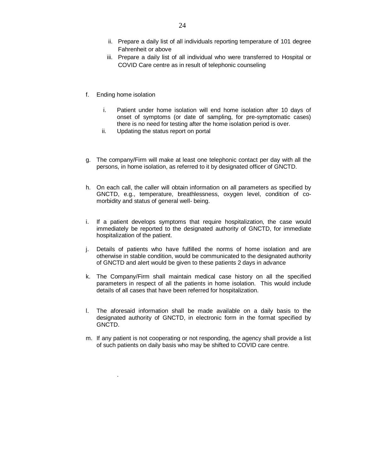- ii. Prepare a daily list of all individuals reporting temperature of 101 degree Fahrenheit or above
- iii. Prepare a daily list of all individual who were transferred to Hospital or COVID Care centre as in result of telephonic counseling
- f. Ending home isolation

.

- i. Patient under home isolation will end home isolation after 10 days of onset of symptoms (or date of sampling, for pre-symptomatic cases) there is no need for testing after the home isolation period is over.
- ii. Updating the status report on portal
- g. The company/Firm will make at least one telephonic contact per day with all the persons, in home isolation, as referred to it by designated officer of GNCTD.
- h. On each call, the caller will obtain information on all parameters as specified by GNCTD, e.g., temperature, breathlessness, oxygen level, condition of comorbidity and status of general well- being.
- i. If a patient develops symptoms that require hospitalization, the case would immediately be reported to the designated authority of GNCTD, for immediate hospitalization of the patient.
- j. Details of patients who have fulfilled the norms of home isolation and are otherwise in stable condition, would be communicated to the designated authority of GNCTD and alert would be given to these patients 2 days in advance
- k. The Company/Firm shall maintain medical case history on all the specified parameters in respect of all the patients in home isolation. This would include details of all cases that have been referred for hospitalization.
- l. The aforesaid information shall be made available on a daily basis to the designated authority of GNCTD, in electronic form in the format specified by GNCTD.
- m. If any patient is not cooperating or not responding, the agency shall provide a list of such patients on daily basis who may be shifted to COVID care centre.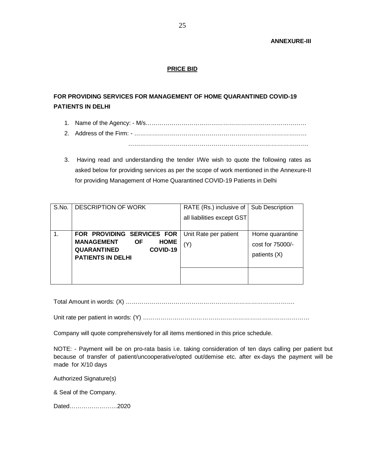# **PRICE BID**

# **FOR PROVIDING SERVICES FOR MANAGEMENT OF HOME QUARANTINED COVID-19 PATIENTS IN DELHI**

- 1. Name of the Agency: M/s………………………………………………………………………
- 2. Address of the Firm: ……………………………………………………………………………

……………………………………………………………………………….

3. Having read and understanding the tender I/We wish to quote the following rates as asked below for providing services as per the scope of work mentioned in the Annexure-II for providing Management of Home Quarantined COVID-19 Patients in Delhi

| S.No. | <b>DESCRIPTION OF WORK</b>                                                                                                  | RATE (Rs.) inclusive of $\vert$<br>all liabilities except GST | <b>Sub Description</b>                              |
|-------|-----------------------------------------------------------------------------------------------------------------------------|---------------------------------------------------------------|-----------------------------------------------------|
| 1.    | FOR PROVIDING SERVICES FOR<br><b>MANAGEMENT</b><br><b>HOME</b><br>ΟF<br>QUARANTINED<br>COVID-19<br><b>PATIENTS IN DELHI</b> | Unit Rate per patient<br>(Y)                                  | Home quarantine<br>cost for 75000/-<br>patients (X) |

Total Amount in words: (X) ………………………………………………………………………….

Unit rate per patient in words: (Y) …………………………………………………………………………

Company will quote comprehensively for all items mentioned in this price schedule.

NOTE: - Payment will be on pro-rata basis i.e. taking consideration of ten days calling per patient but because of transfer of patient/uncooperative/opted out/demise etc. after ex-days the payment will be made for X/10 days

Authorized Signature(s)

& Seal of the Company.

Dated……………………2020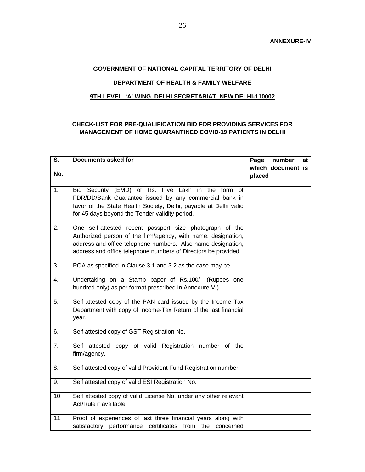# **GOVERNMENT OF NATIONAL CAPITAL TERRITORY OF DELHI**

# **DEPARTMENT OF HEALTH & FAMILY WELFARE**

# **9TH LEVEL, 'A' WING, DELHI SECRETARIAT, NEW DELHI-110002**

# **CHECK-LIST FOR PRE-QUALIFICATION BID FOR PROVIDING SERVICES FOR MANAGEMENT OF HOME QUARANTINED COVID-19 PATIENTS IN DELHI**

| $\overline{\mathsf{s}}$ . | <b>Documents asked for</b>                                                                                                                                                                                                                                  | Page<br>number<br>at<br>which document is |
|---------------------------|-------------------------------------------------------------------------------------------------------------------------------------------------------------------------------------------------------------------------------------------------------------|-------------------------------------------|
| No.                       |                                                                                                                                                                                                                                                             | placed                                    |
| $\overline{1}$ .          | Bid Security (EMD) of Rs. Five Lakh in the form of<br>FDR/DD/Bank Guarantee issued by any commercial bank in<br>favor of the State Health Society, Delhi, payable at Delhi valid<br>for 45 days beyond the Tender validity period.                          |                                           |
| $\overline{2}$ .          | One self-attested recent passport size photograph of the<br>Authorized person of the firm/agency, with name, designation,<br>address and office telephone numbers. Also name designation,<br>address and office telephone numbers of Directors be provided. |                                           |
| 3.                        | POA as specified in Clause 3.1 and 3.2 as the case may be                                                                                                                                                                                                   |                                           |
| 4.                        | Undertaking on a Stamp paper of Rs.100/- (Rupees one<br>hundred only) as per format prescribed in Annexure-VI).                                                                                                                                             |                                           |
| $\overline{5}$ .          | Self-attested copy of the PAN card issued by the Income Tax<br>Department with copy of Income-Tax Return of the last financial<br>year.                                                                                                                     |                                           |
| 6.                        | Self attested copy of GST Registration No.                                                                                                                                                                                                                  |                                           |
| $\overline{7}$ .          | Self attested copy of valid Registration number of the<br>firm/agency.                                                                                                                                                                                      |                                           |
| 8.                        | Self attested copy of valid Provident Fund Registration number.                                                                                                                                                                                             |                                           |
| 9.                        | Self attested copy of valid ESI Registration No.                                                                                                                                                                                                            |                                           |
| 10.                       | Self attested copy of valid License No. under any other relevant<br>Act/Rule if available.                                                                                                                                                                  |                                           |
| 11.                       | Proof of experiences of last three financial years along with<br>satisfactory performance certificates from the<br>concerned                                                                                                                                |                                           |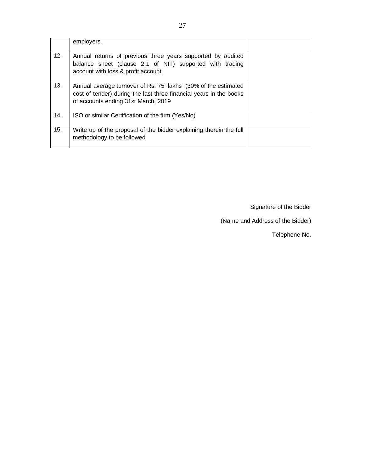|     | employers.                                                                                                                                                                 |  |
|-----|----------------------------------------------------------------------------------------------------------------------------------------------------------------------------|--|
| 12. | Annual returns of previous three years supported by audited<br>balance sheet (clause 2.1 of NIT) supported with trading<br>account with loss & profit account              |  |
| 13. | Annual average turnover of Rs. 75 lakhs (30% of the estimated<br>cost of tender) during the last three financial years in the books<br>of accounts ending 31st March, 2019 |  |
| 14. | ISO or similar Certification of the firm (Yes/No)                                                                                                                          |  |
| 15. | Write up of the proposal of the bidder explaining therein the full<br>methodology to be followed                                                                           |  |

Signature of the Bidder

(Name and Address of the Bidder)

Telephone No.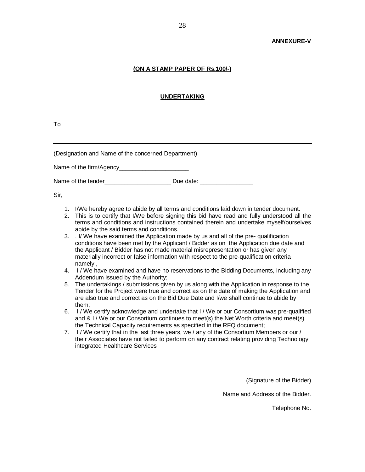#### **ANNEXURE-V**

#### **(ON A STAMP PAPER OF Rs.100/-)**

# **UNDERTAKING**

To

(Designation and Name of the concerned Department)

Name of the firm/Agency\_\_\_\_\_\_\_\_\_\_\_\_\_\_\_\_\_\_\_\_\_

Name of the tender example of the tender  $Due$  date:

Sir,

- 1. I/We hereby agree to abide by all terms and conditions laid down in tender document.
- 2. This is to certify that I/We before signing this bid have read and fully understood all the terms and conditions and instructions contained therein and undertake myself/ourselves abide by the said terms and conditions.
- 3. . I/ We have examined the Application made by us and all of the pre- qualification conditions have been met by the Applicant / Bidder as on the Application due date and the Applicant / Bidder has not made material misrepresentation or has given any materially incorrect or false information with respect to the pre-qualification criteria namely ,
- 4. I / We have examined and have no reservations to the Bidding Documents, including any Addendum issued by the Authority;
- 5. The undertakings / submissions given by us along with the Application in response to the Tender for the Project were true and correct as on the date of making the Application and are also true and correct as on the Bid Due Date and I/we shall continue to abide by them;
- 6. I / We certify acknowledge and undertake that I / We or our Consortium was pre-qualified and & I / We or our Consortium continues to meet(s) the Net Worth criteria and meet(s) the Technical Capacity requirements as specified in the RFQ document;
- 7. I / We certify that in the last three years, we / any of the Consortium Members or our / their Associates have not failed to perform on any contract relating providing Technology integrated Healthcare Services

(Signature of the Bidder)

Name and Address of the Bidder.

Telephone No.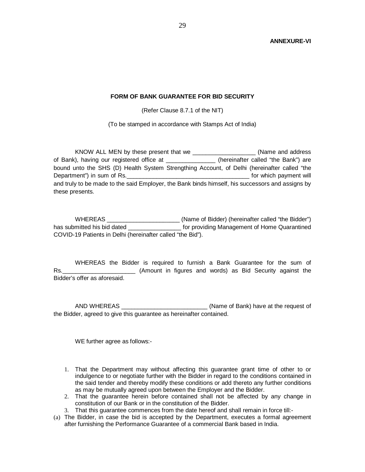# **FORM OF BANK GUARANTEE FOR BID SECURITY**

(Refer Clause 8.7.1 of the NIT)

(To be stamped in accordance with Stamps Act of India)

KNOW ALL MEN by these present that we \_\_\_\_\_\_\_\_\_\_\_\_\_\_\_\_\_\_\_ (Name and address of Bank), having our registered office at \_\_\_\_\_\_\_\_\_\_\_\_\_\_\_\_\_ (hereinafter called "the Bank") are bound unto the SHS (D) Health System Strengthing Account, of Delhi (hereinafter called "the Department") in sum of Rs. The sum of  $\sim$  2008 and the sum of  $\sim$  500 and the sum of  $\sim$  0.000 and the sum of Rs. and truly to be made to the said Employer, the Bank binds himself, his successors and assigns by these presents.

WHEREAS \_\_\_\_\_\_\_\_\_\_\_\_\_\_\_\_\_\_\_\_\_\_ (Name of Bidder) (hereinafter called "the Bidder") has submitted his bid dated \_\_\_\_\_\_\_\_\_\_\_\_\_\_\_\_\_\_ for providing Management of Home Quarantined COVID-19 Patients in Delhi (hereinafter called "the Bid").

WHEREAS the Bidder is required to furnish a Bank Guarantee for the sum of Rs. Consequence and words) as Bid Security against the Bidder's offer as aforesaid.

AND WHEREAS \_\_\_\_\_\_\_\_\_\_\_\_\_\_\_\_\_\_\_\_\_\_\_\_\_\_ (Name of Bank) have at the request of the Bidder, agreed to give this guarantee as hereinafter contained.

WE further agree as follows:-

- 1. That the Department may without affecting this guarantee grant time of other to or indulgence to or negotiate further with the Bidder in regard to the conditions contained in the said tender and thereby modify these conditions or add thereto any further conditions as may be mutually agreed upon between the Employer and the Bidder.
- 2. That the guarantee herein before contained shall not be affected by any change in constitution of our Bank or in the constitution of the Bidder.
- 3. That this guarantee commences from the date hereof and shall remain in force till:-
- (a) The Bidder, in case the bid is accepted by the Department, executes a formal agreement after furnishing the Performance Guarantee of a commercial Bank based in India.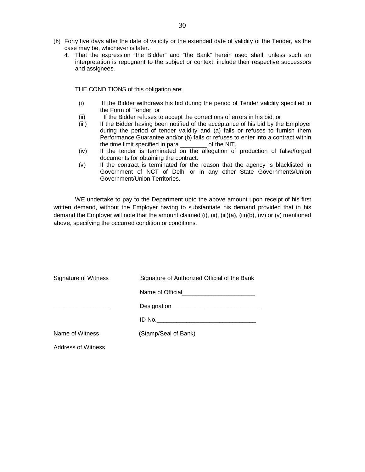- (b) Forty five days after the date of validity or the extended date of validity of the Tender, as the case may be, whichever is later.
	- 4. That the expression "the Bidder" and "the Bank" herein used shall, unless such an interpretation is repugnant to the subject or context, include their respective successors and assignees.

THE CONDITIONS of this obligation are:

- (i) If the Bidder withdraws his bid during the period of Tender validity specified in the Form of Tender; or
- (ii) If the Bidder refuses to accept the corrections of errors in his bid; or
- (iii) If the Bidder having been notified of the acceptance of his bid by the Employer during the period of tender validity and (a) fails or refuses to furnish them Performance Guarantee and/or (b) fails or refuses to enter into a contract within the time limit specified in para \_\_\_\_\_\_\_\_ of the NIT.
- (iv) If the tender is terminated on the allegation of production of false/forged documents for obtaining the contract.
- (v) If the contract is terminated for the reason that the agency is blacklisted in Government of NCT of Delhi or in any other State Governments/Union Government/Union Territories.

WE undertake to pay to the Department upto the above amount upon receipt of his first written demand, without the Employer having to substantiate his demand provided that in his demand the Employer will note that the amount claimed (i), (ii), (iii)(a), (iii)(b), (iv) or (v) mentioned above, specifying the occurred condition or conditions.

| Signature of Witness      | Signature of Authorized Official of the Bank |  |
|---------------------------|----------------------------------------------|--|
|                           |                                              |  |
|                           |                                              |  |
|                           |                                              |  |
| Name of Witness           | (Stamp/Seal of Bank)                         |  |
| <b>Address of Witness</b> |                                              |  |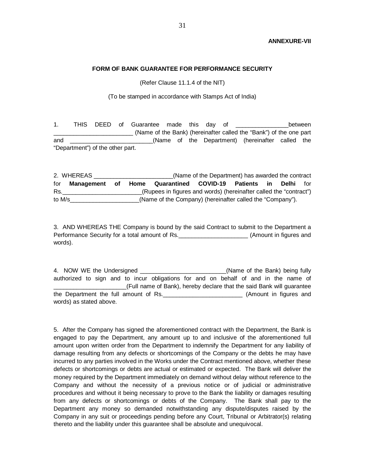#### **FORM OF BANK GUARANTEE FOR PERFORMANCE SECURITY**

(Refer Clause 11.1.4 of the NIT)

(To be stamped in accordance with Stamps Act of India)

1. THIS DEED of Guarantee made this day of The State between (Name of the Bank) (hereinafter called the "Bank") of the one part and \_\_\_\_\_\_\_\_\_\_\_\_\_\_\_\_\_\_\_\_\_\_\_\_\_(Name of the Department) (hereinafter called the "Department") of the other part.

2. WHEREAS \_\_\_\_\_\_\_\_\_\_\_\_\_\_\_\_\_\_\_\_\_\_\_\_(Name of the Department) has awarded the contract for **Management of Home Quarantined COVID-19 Patients in Delhi** for Rs. The section of the CRUPE of the Indian of the "contract" (Rupees in figures and words) (hereinafter called the "contract") to M/s\_\_\_\_\_\_\_\_\_\_\_\_\_\_\_\_\_\_\_\_\_(Name of the Company) (hereinafter called the "Company").

3. AND WHEREAS THE Company is bound by the said Contract to submit to the Department a Performance Security for a total amount of Rs. \_\_\_\_\_\_\_\_\_\_\_\_\_\_\_\_\_\_\_\_\_\_\_\_\_\_\_\_\_\_\_\_\_(Amount in figures and words).

4. NOW WE the Undersigned **Example 20** (Name of the Bank) being fully authorized to sign and to incur obligations for and on behalf of and in the name of \_\_\_\_\_\_\_\_\_\_\_\_\_\_\_\_\_\_\_\_\_\_(Full name of Bank), hereby declare that the said Bank will guarantee the Department the full amount of Rs.\_\_\_\_\_\_\_\_\_\_\_\_\_\_\_\_\_\_\_\_\_\_\_\_ (Amount in figures and words) as stated above.

5. After the Company has signed the aforementioned contract with the Department, the Bank is engaged to pay the Department, any amount up to and inclusive of the aforementioned full amount upon written order from the Department to indemnify the Department for any liability of damage resulting from any defects or shortcomings of the Company or the debts he may have incurred to any parties involved in the Works under the Contract mentioned above, whether these defects or shortcomings or debts are actual or estimated or expected. The Bank will deliver the money required by the Department immediately on demand without delay without reference to the Company and without the necessity of a previous notice or of judicial or administrative procedures and without it being necessary to prove to the Bank the liability or damages resulting from any defects or shortcomings or debts of the Company. The Bank shall pay to the Department any money so demanded notwithstanding any dispute/disputes raised by the Company in any suit or proceedings pending before any Court, Tribunal or Arbitrator(s) relating thereto and the liability under this guarantee shall be absolute and unequivocal.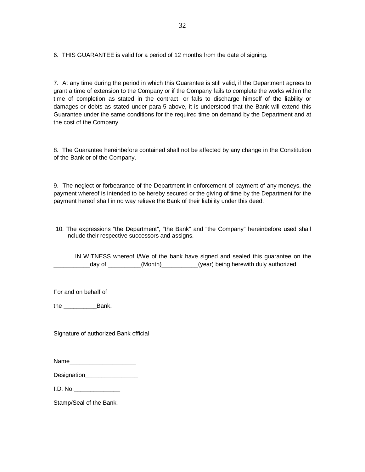6. THIS GUARANTEE is valid for a period of 12 months from the date of signing.

7. At any time during the period in which this Guarantee is still valid, if the Department agrees to grant a time of extension to the Company or if the Company fails to complete the works within the time of completion as stated in the contract, or fails to discharge himself of the liability or damages or debts as stated under para-5 above, it is understood that the Bank will extend this Guarantee under the same conditions for the required time on demand by the Department and at the cost of the Company.

8. The Guarantee hereinbefore contained shall not be affected by any change in the Constitution of the Bank or of the Company.

9. The neglect or forbearance of the Department in enforcement of payment of any moneys, the payment whereof is intended to be hereby secured or the giving of time by the Department for the payment hereof shall in no way relieve the Bank of their liability under this deed.

10. The expressions "the Department", "the Bank" and "the Company" hereinbefore used shall include their respective successors and assigns.

IN WITNESS whereof I/We of the bank have signed and sealed this guarantee on the day of \_\_\_\_\_\_\_\_\_(Month)\_\_\_\_\_\_\_\_(year) being herewith duly authorized.

For and on behalf of

the **Bank**.

Signature of authorized Bank official

| Designation |  |  |
|-------------|--|--|
|             |  |  |

I.D. No.\_\_\_\_\_\_\_\_\_\_\_\_\_\_

Stamp/Seal of the Bank.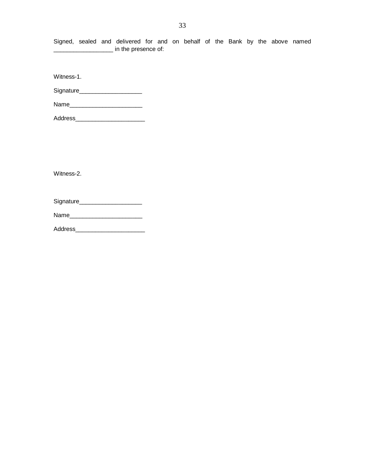Signed, sealed and delivered for and on behalf of the Bank by the above named **\_\_\_\_\_\_\_\_\_\_\_\_\_\_\_\_\_\_** in the presence of:

Witness-1.

Signature\_\_\_\_\_\_\_\_\_\_\_\_\_\_\_\_\_\_\_

Name\_\_\_\_\_\_\_\_\_\_\_\_\_\_\_\_\_\_\_\_\_\_

Address\_\_\_\_\_\_\_\_\_\_\_\_\_\_\_\_\_\_\_\_\_

Witness-2.

Signature\_\_\_\_\_\_\_\_\_\_\_\_\_\_\_\_\_\_\_

Name\_\_\_\_\_\_\_\_\_\_\_\_\_\_\_\_\_\_\_\_\_\_

Address\_\_\_\_\_\_\_\_\_\_\_\_\_\_\_\_\_\_\_\_\_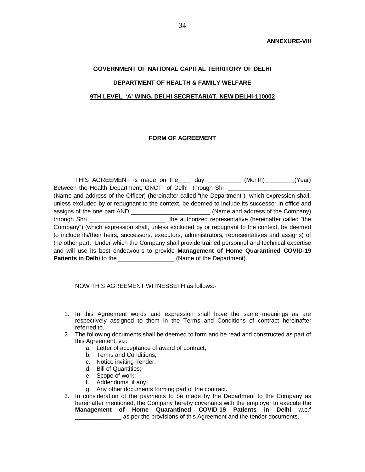# **GOVERNMENT OF NATIONAL CAPITAL TERRITORY OF DELHI DEPARTMENT OF HEALTH & FAMILY WELFARE 9TH LEVEL, 'A' WING, DELHI SECRETARIAT, NEW DELHI-110002**

# **FORM OF AGREEMENT**

THIS AGREEMENT is made on the\_\_\_\_ day \_\_\_\_\_\_\_\_\_\_ (Month)\_\_\_\_\_\_\_\_\_(Year) Between the Health Department, GNCT of Delhi through Shri (Name and address of the Officer) (hereinafter called "the Department"), which expression shall, unless excluded by or repugnant to the context, be deemed to include its successor in office and assigns of the one part AND \_\_\_\_\_\_\_\_\_\_\_\_\_\_\_\_\_\_\_\_\_\_\_\_ (Name and address of the Company) through Shri \_\_\_\_\_\_\_\_\_\_\_\_\_\_\_\_\_\_\_\_\_\_\_, the authorized representative (hereinafter called "the Company") (which expression shall, unless excluded by or repugnant to the context, be deemed to include its/their heirs, successors, executors, administrators, representatives and assigns) of the other part. Under which the Company shall provide trained personnel and technical expertise and will use its best endeavours to provide **Management of Home Quarantined COVID-19**  Patients in Delhi to the **\_\_\_\_\_\_\_\_\_\_\_\_\_\_\_\_** (Name of the Department).

NOW THIS AGREEMENT WITNESSETH as follows:-

- 1. In this Agreement words and expression shall have the same meanings as are respectively assigned to them in the Terms and Conditions of contract hereinafter referred to.
- 2. The following documents shall be deemed to form and be read and constructed as part of this Agreement, viz:
	- a. Letter of acceptance of award of contract;
	- b. Terms and Conditions;
	- c. Notice inviting Tender;
	- d. Bill of Quantities;
	- e. Scope of work;
	- f. Addendums, if any;
	- g. Any other documents forming part of the contract.
- 3. In consideration of the payments to be made by the Department to the Company as hereinafter mentioned, the Company hereby covenants with the employer to execute the **Management of Home Quarantined COVID-19 Patients in Delhi** w.e.f **EXECUTE:** as per the provisions of this Agreement and the tender documents.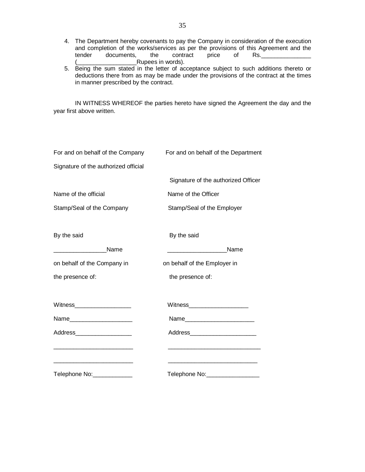- 4. The Department hereby covenants to pay the Company in consideration of the execution and completion of the works/services as per the provisions of this Agreement and the tender documents, the contract price of Rs. Rupees in words).
- 5. Being the sum stated in the letter of acceptance subject to such additions thereto or deductions there from as may be made under the provisions of the contract at the times in manner prescribed by the contract.

IN WITNESS WHEREOF the parties hereto have signed the Agreement the day and the year first above written.

| For and on behalf of the Company                                                                                      | For and on behalf of the Department                                                                                                                                    |
|-----------------------------------------------------------------------------------------------------------------------|------------------------------------------------------------------------------------------------------------------------------------------------------------------------|
| Signature of the authorized official                                                                                  |                                                                                                                                                                        |
|                                                                                                                       | Signature of the authorized Officer                                                                                                                                    |
| Name of the official                                                                                                  | Name of the Officer                                                                                                                                                    |
| Stamp/Seal of the Company                                                                                             | Stamp/Seal of the Employer                                                                                                                                             |
| By the said                                                                                                           | By the said                                                                                                                                                            |
| Name                                                                                                                  | Name<br><u> 1980 - Jan Samuel Barbara, martxa a shekara 1980 - An</u>                                                                                                  |
| on behalf of the Company in                                                                                           | on behalf of the Employer in                                                                                                                                           |
| the presence of:                                                                                                      | the presence of:                                                                                                                                                       |
| <b>Witness Example 2008</b>                                                                                           | Witness______________________                                                                                                                                          |
|                                                                                                                       | Name <b>Mame Mame Mame Mame Mame Mame Mame Mame Mame Mame Mame Mame Mame Mame Mame Mame Mame Mame Mame Mame Mame Mame Mame Mame Mame Mame Mame Mame Mame Mame Mame</b> |
| Address____________________                                                                                           | Address________________________                                                                                                                                        |
| <u> 1989 - Johann John Stein, mars ar breithinn ar ymgyriad yr y gynnas ymgyriad yr y gynnas ymgyriad yr y gynnas</u> | <u> 1989 - Johann Barn, mars an t-Amerikaansk politiker (</u>                                                                                                          |
| Telephone No: ______________                                                                                          | Telephone No: ___________________                                                                                                                                      |
|                                                                                                                       |                                                                                                                                                                        |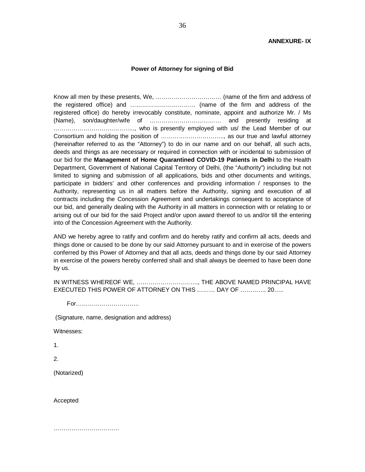#### **Power of Attorney for signing of Bid**

Know all men by these presents, We, …………………………… (name of the firm and address of the registered office) and …………………………… (name of the firm and address of the registered office) do hereby irrevocably constitute, nominate, appoint and authorize Mr. / Ms (Name), son/daughter/wife of ……………………………… and presently residing at ………………………………….., who is presently employed with us/ the Lead Member of our Consortium and holding the position of ………………………….., as our true and lawful attorney (hereinafter referred to as the "Attorney") to do in our name and on our behalf, all such acts, deeds and things as are necessary or required in connection with or incidental to submission of our bid for the **Management of Home Quarantined COVID-19 Patients in Delhi** to the Health Department, Government of National Capital Territory of Delhi, (the "Authority") including but not limited to signing and submission of all applications, bids and other documents and writings, participate in bidders' and other conferences and providing information / responses to the Authority, representing us in all matters before the Authority, signing and execution of all contracts including the Concession Agreement and undertakings consequent to acceptance of our bid, and generally dealing with the Authority in all matters in connection with or relating to or arising out of our bid for the said Project and/or upon award thereof to us and/or till the entering into of the Concession Agreement with the Authority.

AND we hereby agree to ratify and confirm and do hereby ratify and confirm all acts, deeds and things done or caused to be done by our said Attorney pursuant to and in exercise of the powers conferred by this Power of Attorney and that all acts, deeds and things done by our said Attorney in exercise of the powers hereby conferred shall and shall always be deemed to have been done by us.

IN WITNESS WHEREOF WE, …………………………., THE ABOVE NAMED PRINCIPAL HAVE EXECUTED THIS POWER OF ATTORNEY ON THIS ……… DAY OF …………. 20…..

For…………………………..

(Signature, name, designation and address)

Witnesses:

1.

2.

(Notarized)

Accepted

……………………………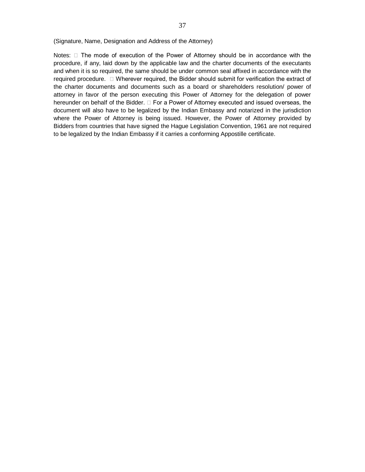(Signature, Name, Designation and Address of the Attorney)

Notes:  $\Box$  The mode of execution of the Power of Attorney should be in accordance with the procedure, if any, laid down by the applicable law and the charter documents of the executants and when it is so required, the same should be under common seal affixed in accordance with the required procedure. Wherever required, the Bidder should submit for verification the extract of the charter documents and documents such as a board or shareholders resolution/ power of attorney in favor of the person executing this Power of Attorney for the delegation of power hereunder on behalf of the Bidder.  $\Box$  For a Power of Attorney executed and issued overseas, the document will also have to be legalized by the Indian Embassy and notarized in the jurisdiction where the Power of Attorney is being issued. However, the Power of Attorney provided by Bidders from countries that have signed the Hague Legislation Convention, 1961 are not required to be legalized by the Indian Embassy if it carries a conforming Appostille certificate.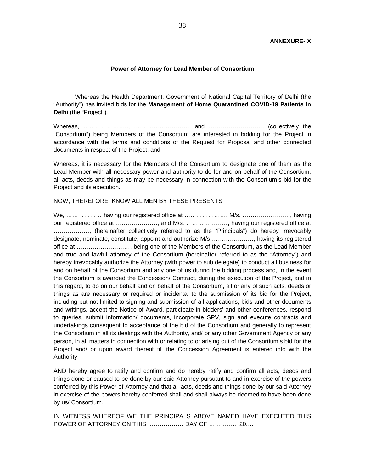#### **Power of Attorney for Lead Member of Consortium**

Whereas the Health Department, Government of National Capital Territory of Delhi (the "Authority") has invited bids for the **Management of Home Quarantined COVID-19 Patients in Delhi** (the "Project").

Whereas, ………………….., ……………………….. and ………………………. (collectively the "Consortium") being Members of the Consortium are interested in bidding for the Project in accordance with the terms and conditions of the Request for Proposal and other connected documents in respect of the Project, and

Whereas, it is necessary for the Members of the Consortium to designate one of them as the Lead Member with all necessary power and authority to do for and on behalf of the Consortium, all acts, deeds and things as may be necessary in connection with the Consortium's bid for the Project and its execution.

#### NOW, THEREFORE, KNOW ALL MEN BY THESE PRESENTS

We, ……………… having our registered office at …………………, M/s. ……………………, having our registered office at …………………, and M/s. …………………, having our registered office at ………………, (hereinafter collectively referred to as the "Principals") do hereby irrevocably designate, nominate, constitute, appoint and authorize M/s …………………, having its registered office at ………………………, being one of the Members of the Consortium, as the Lead Member and true and lawful attorney of the Consortium (hereinafter referred to as the "Attorney") and hereby irrevocably authorize the Attorney (with power to sub delegate) to conduct all business for and on behalf of the Consortium and any one of us during the bidding process and, in the event the Consortium is awarded the Concession/ Contract, during the execution of the Project, and in this regard, to do on our behalf and on behalf of the Consortium, all or any of such acts, deeds or things as are necessary or required or incidental to the submission of its bid for the Project, including but not limited to signing and submission of all applications, bids and other documents and writings, accept the Notice of Award, participate in bidders' and other conferences, respond to queries, submit information/ documents, incorporate SPV, sign and execute contracts and undertakings consequent to acceptance of the bid of the Consortium and generally to represent the Consortium in all its dealings with the Authority, and/ or any other Government Agency or any person, in all matters in connection with or relating to or arising out of the Consortium's bid for the Project and/ or upon award thereof till the Concession Agreement is entered into with the Authority.

AND hereby agree to ratify and confirm and do hereby ratify and confirm all acts, deeds and things done or caused to be done by our said Attorney pursuant to and in exercise of the powers conferred by this Power of Attorney and that all acts, deeds and things done by our said Attorney in exercise of the powers hereby conferred shall and shall always be deemed to have been done by us/ Consortium.

IN WITNESS WHEREOF WE THE PRINCIPALS ABOVE NAMED HAVE EXECUTED THIS POWER OF ATTORNEY ON THIS ……………… DAY OF ………….., 20.…